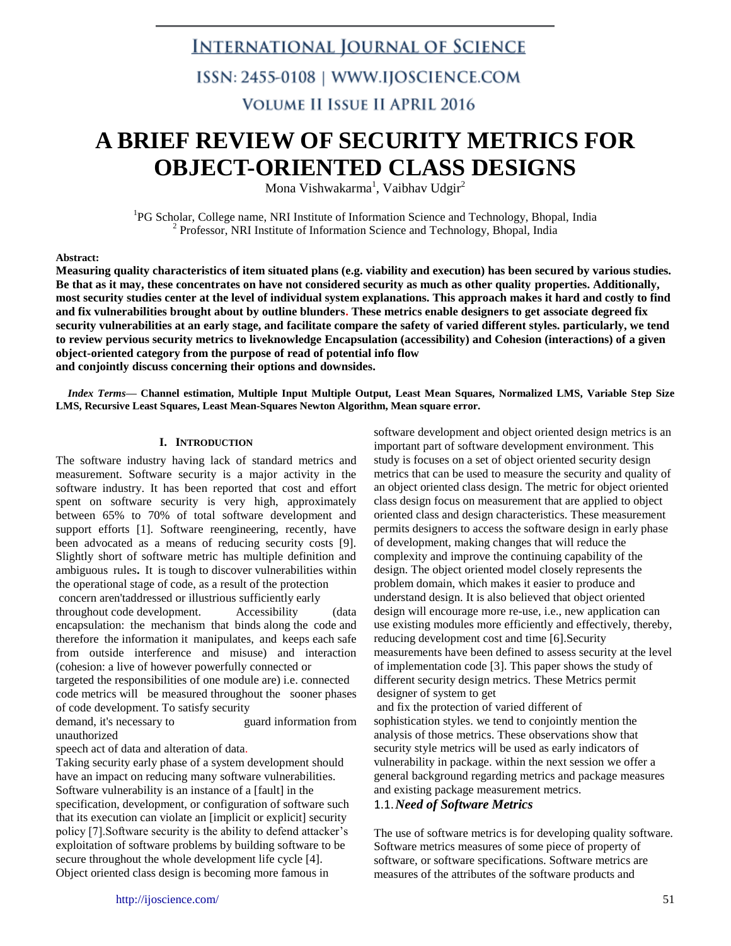### **INTERNATIONAL JOURNAL OF SCIENCE**

### ISSN: 2455-0108 | WWW.IJOSCIENCE.COM

### **VOLUME II ISSUE II APRIL 2016**

## **A BRIEF REVIEW OF SECURITY METRICS FOR OBJECT-ORIENTED CLASS DESIGNS**

Mona Vishwakarma $^1$ , Vaibhav Udgir $^2$ 

<sup>1</sup>PG Scholar, College name, NRI Institute of Information Science and Technology, Bhopal, India <sup>2</sup> Professor, NRI Institute of Information Science and Technology, Bhopal, India

#### **Abstract:**

**Measuring quality characteristics of item situated plans (e.g. viability and execution) has been secured by various studies. Be that as it may, these concentrates on have not considered security as much as other quality properties. Additionally, most security studies center at the level of individual system explanations. This approach makes it hard and costly to find and fix vulnerabilities brought about by outline blunders. These metrics enable designers to get associate degreed fix security vulnerabilities at an early stage, and facilitate compare the safety of varied different styles. particularly, we tend to review pervious security metrics to liveknowledge Encapsulation (accessibility) and Cohesion (interactions) of a given object-oriented category from the purpose of read of potential info flow and conjointly discuss concerning their options and downsides.**

*Index Terms***— Channel estimation, Multiple Input Multiple Output, Least Mean Squares, Normalized LMS, Variable Step Size LMS, Recursive Least Squares, Least Mean-Squares Newton Algorithm, Mean square error.**

#### **I. INTRODUCTION**

The software industry having lack of standard metrics and measurement. Software security is a major activity in the software industry. It has been reported that cost and effort spent on software security is very high, approximately between 65% to 70% of total software development and support efforts [1]. Software reengineering, recently, have been advocated as a means of reducing security costs [9]. Slightly short of software metric has multiple definition and ambiguous rules**.** It is tough to discover vulnerabilities within the operational stage of code, as a result of the protection concern aren'taddressed or illustrious sufficiently early throughout code development. Accessibility (data encapsulation: the mechanism that binds along the code and

therefore the information it manipulates, and keeps each safe from outside interference and misuse) and interaction (cohesion: a live of however powerfully connected or targeted the responsibilities of one module are) i.e. connected

code metrics will be measured throughout the sooner phases of code development. To satisfy security

demand, it's necessary to guard information from unauthorized

speech act of data and alteration of data.

Taking security early phase of a system development should have an impact on reducing many software vulnerabilities. Software vulnerability is an instance of a [fault] in the specification, development, or configuration of software such that its execution can violate an [implicit or explicit] security policy [7].Software security is the ability to defend attacker's exploitation of software problems by building software to be secure throughout the whole development life cycle [4]. Object oriented class design is becoming more famous in

software development and object oriented design metrics is an important part of software development environment. This study is focuses on a set of object oriented security design metrics that can be used to measure the security and quality of an object oriented class design. The metric for object oriented class design focus on measurement that are applied to object oriented class and design characteristics. These measurement permits designers to access the software design in early phase of development, making changes that will reduce the complexity and improve the continuing capability of the design. The object oriented model closely represents the problem domain, which makes it easier to produce and understand design. It is also believed that object oriented design will encourage more re-use, i.e., new application can use existing modules more efficiently and effectively, thereby, reducing development cost and time [6].Security measurements have been defined to assess security at the level of implementation code [3]. This paper shows the study of different security design metrics. These Metrics permit designer of system to get

and fix the protection of varied different of sophistication styles. we tend to conjointly mention the analysis of those metrics. These observations show that security style metrics will be used as early indicators of vulnerability in package. within the next session we offer a general background regarding metrics and package measures and existing package measurement metrics.

#### 1.1.*Need of Software Metrics*

The use of software metrics is for developing quality software. Software metrics measures of some piece of property of software, or software specifications. Software metrics are measures of the attributes of the software products and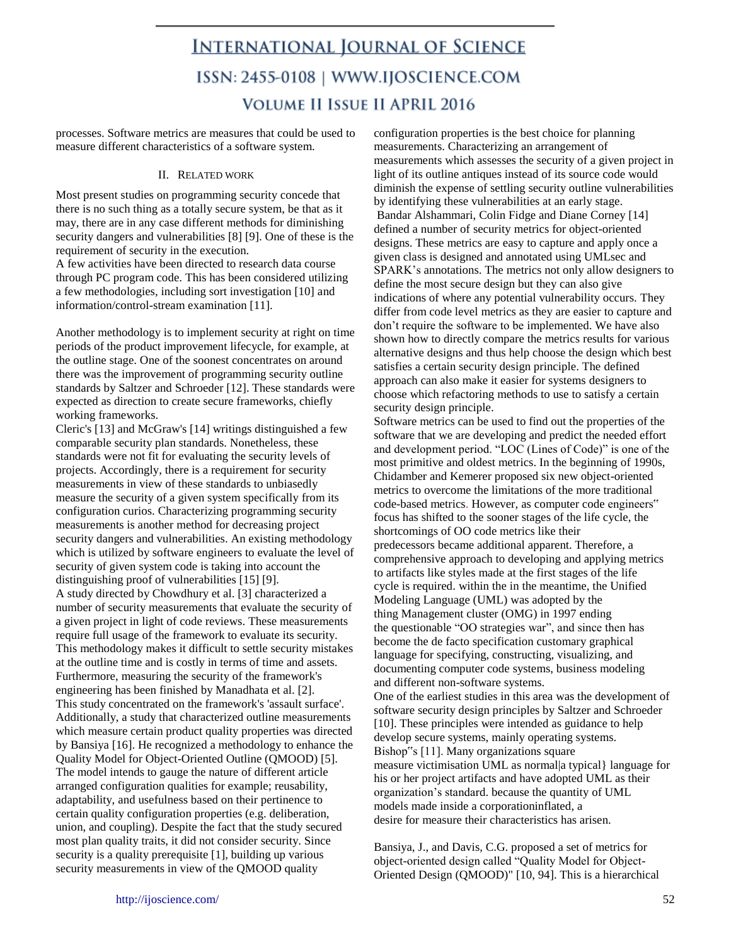processes. Software metrics are measures that could be used to measure different characteristics of a software system.

#### II. RELATED WORK

Most present studies on programming security concede that there is no such thing as a totally secure system, be that as it may, there are in any case different methods for diminishing security dangers and vulnerabilities [8] [9]. One of these is the requirement of security in the execution.

A few activities have been directed to research data course through PC program code. This has been considered utilizing a few methodologies, including sort investigation [10] and information/control-stream examination [11].

Another methodology is to implement security at right on time periods of the product improvement lifecycle, for example, at the outline stage. One of the soonest concentrates on around there was the improvement of programming security outline standards by Saltzer and Schroeder [12]. These standards were expected as direction to create secure frameworks, chiefly working frameworks.

Cleric's [13] and McGraw's [14] writings distinguished a few comparable security plan standards. Nonetheless, these standards were not fit for evaluating the security levels of projects. Accordingly, there is a requirement for security measurements in view of these standards to unbiasedly measure the security of a given system specifically from its configuration curios. Characterizing programming security measurements is another method for decreasing project security dangers and vulnerabilities. An existing methodology which is utilized by software engineers to evaluate the level of security of given system code is taking into account the distinguishing proof of vulnerabilities [15] [9]. A study directed by Chowdhury et al. [3] characterized a number of security measurements that evaluate the security of a given project in light of code reviews. These measurements require full usage of the framework to evaluate its security. This methodology makes it difficult to settle security mistakes at the outline time and is costly in terms of time and assets. Furthermore, measuring the security of the framework's engineering has been finished by Manadhata et al. [2]. This study concentrated on the framework's 'assault surface'. Additionally, a study that characterized outline measurements which measure certain product quality properties was directed by Bansiya [16]. He recognized a methodology to enhance the Quality Model for Object-Oriented Outline (QMOOD) [5]. The model intends to gauge the nature of different article arranged configuration qualities for example; reusability, adaptability, and usefulness based on their pertinence to certain quality configuration properties (e.g. deliberation, union, and coupling). Despite the fact that the study secured most plan quality traits, it did not consider security. Since security is a quality prerequisite [1], building up various security measurements in view of the QMOOD quality

configuration properties is the best choice for planning measurements. Characterizing an arrangement of measurements which assesses the security of a given project in light of its outline antiques instead of its source code would diminish the expense of settling security outline vulnerabilities by identifying these vulnerabilities at an early stage. Bandar Alshammari, Colin Fidge and Diane Corney [14] defined a number of security metrics for object-oriented designs. These metrics are easy to capture and apply once a given class is designed and annotated using UMLsec and SPARK's annotations. The metrics not only allow designers to define the most secure design but they can also give indications of where any potential vulnerability occurs. They differ from code level metrics as they are easier to capture and don't require the software to be implemented. We have also shown how to directly compare the metrics results for various alternative designs and thus help choose the design which best satisfies a certain security design principle. The defined approach can also make it easier for systems designers to choose which refactoring methods to use to satisfy a certain security design principle.

Software metrics can be used to find out the properties of the software that we are developing and predict the needed effort and development period. "LOC (Lines of Code)" is one of the most primitive and oldest metrics. In the beginning of 1990s, Chidamber and Kemerer proposed six new object-oriented metrics to overcome the limitations of the more traditional code-based metrics. However, as computer code engineers" focus has shifted to the sooner stages of the life cycle, the shortcomings of OO code metrics like their predecessors became additional apparent. Therefore, a comprehensive approach to developing and applying metrics to artifacts like styles made at the first stages of the life cycle is required. within the in the meantime, the Unified Modeling Language (UML) was adopted by the thing Management cluster (OMG) in 1997 ending the questionable "OO strategies war", and since then has become the de facto specification customary graphical language for specifying, constructing, visualizing, and documenting computer code systems, business modeling and different non-software systems.

One of the earliest studies in this area was the development of software security design principles by Saltzer and Schroeder [10]. These principles were intended as guidance to help develop secure systems, mainly operating systems. Bishop"s [11]. Many organizations square measure victimisation UML as normal|a typical} language for his or her project artifacts and have adopted UML as their organization's standard. because the quantity of UML models made inside a corporationinflated, a desire for measure their characteristics has arisen.

Bansiya, J., and Davis, C.G. proposed a set of metrics for object-oriented design called "Quality Model for Object-Oriented Design (QMOOD)" [10, 94]. This is a hierarchical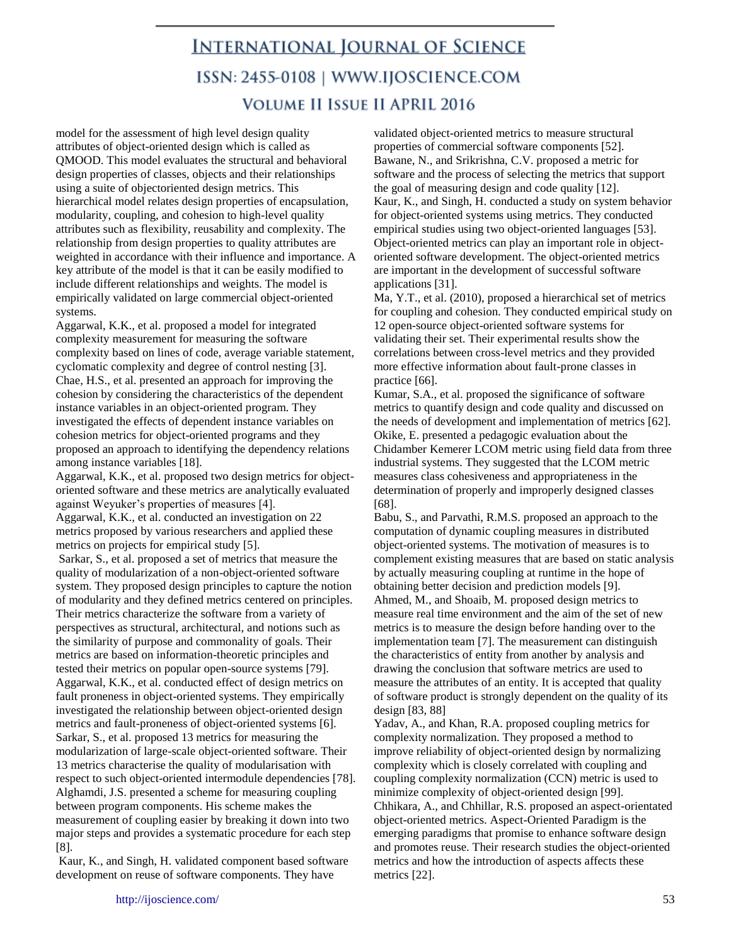model for the assessment of high level design quality attributes of object-oriented design which is called as QMOOD. This model evaluates the structural and behavioral design properties of classes, objects and their relationships using a suite of objectoriented design metrics. This hierarchical model relates design properties of encapsulation, modularity, coupling, and cohesion to high-level quality attributes such as flexibility, reusability and complexity. The relationship from design properties to quality attributes are weighted in accordance with their influence and importance. A key attribute of the model is that it can be easily modified to include different relationships and weights. The model is empirically validated on large commercial object-oriented systems.

Aggarwal, K.K., et al. proposed a model for integrated complexity measurement for measuring the software complexity based on lines of code, average variable statement, cyclomatic complexity and degree of control nesting [3]. Chae, H.S., et al. presented an approach for improving the cohesion by considering the characteristics of the dependent instance variables in an object-oriented program. They investigated the effects of dependent instance variables on cohesion metrics for object-oriented programs and they proposed an approach to identifying the dependency relations among instance variables [18].

Aggarwal, K.K., et al. proposed two design metrics for objectoriented software and these metrics are analytically evaluated against Weyuker's properties of measures [4].

Aggarwal, K.K., et al. conducted an investigation on 22 metrics proposed by various researchers and applied these metrics on projects for empirical study [5].

Sarkar, S., et al. proposed a set of metrics that measure the quality of modularization of a non-object-oriented software system. They proposed design principles to capture the notion of modularity and they defined metrics centered on principles. Their metrics characterize the software from a variety of perspectives as structural, architectural, and notions such as the similarity of purpose and commonality of goals. Their metrics are based on information-theoretic principles and tested their metrics on popular open-source systems [79]. Aggarwal, K.K., et al. conducted effect of design metrics on fault proneness in object-oriented systems. They empirically investigated the relationship between object-oriented design metrics and fault-proneness of object-oriented systems [6]. Sarkar, S., et al. proposed 13 metrics for measuring the modularization of large-scale object-oriented software. Their 13 metrics characterise the quality of modularisation with respect to such object-oriented intermodule dependencies [78]. Alghamdi, J.S. presented a scheme for measuring coupling between program components. His scheme makes the measurement of coupling easier by breaking it down into two major steps and provides a systematic procedure for each step [8].

Kaur, K., and Singh, H. validated component based software development on reuse of software components. They have

validated object-oriented metrics to measure structural properties of commercial software components [52]. Bawane, N., and Srikrishna, C.V. proposed a metric for software and the process of selecting the metrics that support the goal of measuring design and code quality [12]. Kaur, K., and Singh, H. conducted a study on system behavior for object-oriented systems using metrics. They conducted empirical studies using two object-oriented languages [53]. Object-oriented metrics can play an important role in objectoriented software development. The object-oriented metrics are important in the development of successful software applications [31].

Ma, Y.T., et al. (2010), proposed a hierarchical set of metrics for coupling and cohesion. They conducted empirical study on 12 open-source object-oriented software systems for validating their set. Their experimental results show the correlations between cross-level metrics and they provided more effective information about fault-prone classes in practice [66].

Kumar, S.A., et al. proposed the significance of software metrics to quantify design and code quality and discussed on the needs of development and implementation of metrics [62]. Okike, E. presented a pedagogic evaluation about the Chidamber Kemerer LCOM metric using field data from three industrial systems. They suggested that the LCOM metric measures class cohesiveness and appropriateness in the determination of properly and improperly designed classes [68].

Babu, S., and Parvathi, R.M.S. proposed an approach to the computation of dynamic coupling measures in distributed object-oriented systems. The motivation of measures is to complement existing measures that are based on static analysis by actually measuring coupling at runtime in the hope of obtaining better decision and prediction models [9]. Ahmed, M., and Shoaib, M. proposed design metrics to measure real time environment and the aim of the set of new metrics is to measure the design before handing over to the implementation team [7]. The measurement can distinguish the characteristics of entity from another by analysis and drawing the conclusion that software metrics are used to measure the attributes of an entity. It is accepted that quality of software product is strongly dependent on the quality of its design [83, 88]

Yadav, A., and Khan, R.A. proposed coupling metrics for complexity normalization. They proposed a method to improve reliability of object-oriented design by normalizing complexity which is closely correlated with coupling and coupling complexity normalization (CCN) metric is used to minimize complexity of object-oriented design [99]. Chhikara, A., and Chhillar, R.S. proposed an aspect-orientated object-oriented metrics. Aspect-Oriented Paradigm is the emerging paradigms that promise to enhance software design and promotes reuse. Their research studies the object-oriented metrics and how the introduction of aspects affects these metrics [22].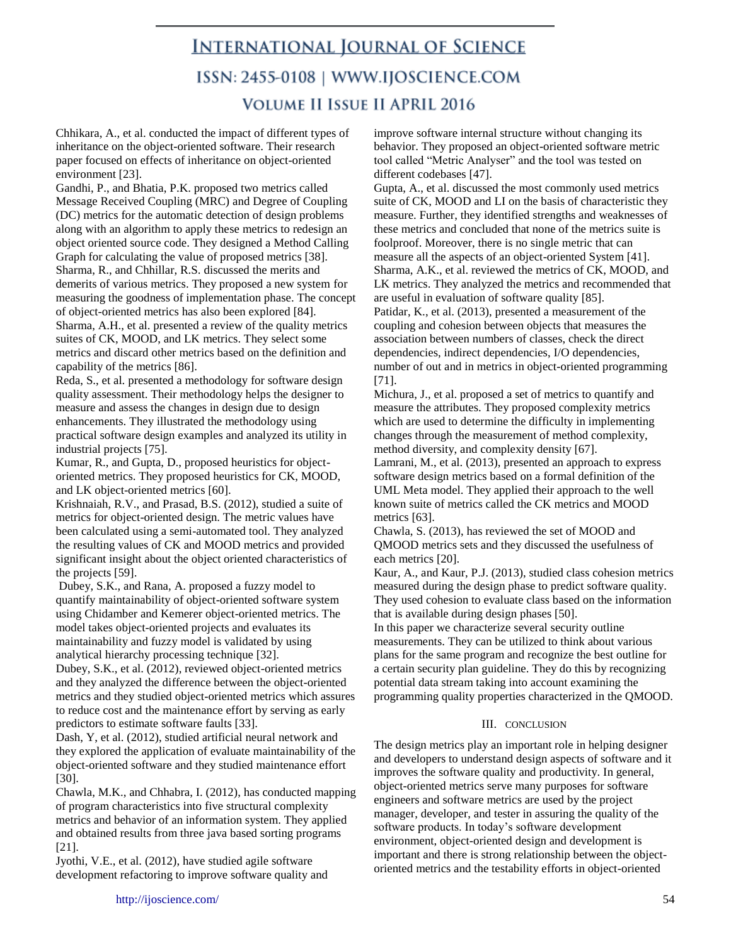Chhikara, A., et al. conducted the impact of different types of inheritance on the object-oriented software. Their research paper focused on effects of inheritance on object-oriented environment [23].

Gandhi, P., and Bhatia, P.K. proposed two metrics called Message Received Coupling (MRC) and Degree of Coupling (DC) metrics for the automatic detection of design problems along with an algorithm to apply these metrics to redesign an object oriented source code. They designed a Method Calling Graph for calculating the value of proposed metrics [38]. Sharma, R., and Chhillar, R.S. discussed the merits and demerits of various metrics. They proposed a new system for measuring the goodness of implementation phase. The concept of object-oriented metrics has also been explored [84]. Sharma, A.H., et al. presented a review of the quality metrics suites of CK, MOOD, and LK metrics. They select some metrics and discard other metrics based on the definition and capability of the metrics [86].

Reda, S., et al. presented a methodology for software design quality assessment. Their methodology helps the designer to measure and assess the changes in design due to design enhancements. They illustrated the methodology using practical software design examples and analyzed its utility in industrial projects [75].

Kumar, R., and Gupta, D., proposed heuristics for objectoriented metrics. They proposed heuristics for CK, MOOD, and LK object-oriented metrics [60].

Krishnaiah, R.V., and Prasad, B.S. (2012), studied a suite of metrics for object-oriented design. The metric values have been calculated using a semi-automated tool. They analyzed the resulting values of CK and MOOD metrics and provided significant insight about the object oriented characteristics of the projects [59].

Dubey, S.K., and Rana, A. proposed a fuzzy model to quantify maintainability of object-oriented software system using Chidamber and Kemerer object-oriented metrics. The model takes object-oriented projects and evaluates its maintainability and fuzzy model is validated by using analytical hierarchy processing technique [32].

Dubey, S.K., et al. (2012), reviewed object-oriented metrics and they analyzed the difference between the object-oriented metrics and they studied object-oriented metrics which assures to reduce cost and the maintenance effort by serving as early predictors to estimate software faults [33].

Dash, Y, et al. (2012), studied artificial neural network and they explored the application of evaluate maintainability of the object-oriented software and they studied maintenance effort [30].

Chawla, M.K., and Chhabra, I. (2012), has conducted mapping of program characteristics into five structural complexity metrics and behavior of an information system. They applied and obtained results from three java based sorting programs [21].

Jyothi, V.E., et al. (2012), have studied agile software development refactoring to improve software quality and improve software internal structure without changing its behavior. They proposed an object-oriented software metric tool called "Metric Analyser" and the tool was tested on different codebases [47].

Gupta, A., et al. discussed the most commonly used metrics suite of CK, MOOD and LI on the basis of characteristic they measure. Further, they identified strengths and weaknesses of these metrics and concluded that none of the metrics suite is foolproof. Moreover, there is no single metric that can measure all the aspects of an object-oriented System [41]. Sharma, A.K., et al. reviewed the metrics of CK, MOOD, and LK metrics. They analyzed the metrics and recommended that are useful in evaluation of software quality [85].

Patidar, K., et al. (2013), presented a measurement of the coupling and cohesion between objects that measures the association between numbers of classes, check the direct dependencies, indirect dependencies, I/O dependencies, number of out and in metrics in object-oriented programming [71].

Michura, J., et al. proposed a set of metrics to quantify and measure the attributes. They proposed complexity metrics which are used to determine the difficulty in implementing changes through the measurement of method complexity, method diversity, and complexity density [67].

Lamrani, M., et al. (2013), presented an approach to express software design metrics based on a formal definition of the UML Meta model. They applied their approach to the well known suite of metrics called the CK metrics and MOOD metrics [63].

Chawla, S. (2013), has reviewed the set of MOOD and QMOOD metrics sets and they discussed the usefulness of each metrics [20].

Kaur, A., and Kaur, P.J. (2013), studied class cohesion metrics measured during the design phase to predict software quality. They used cohesion to evaluate class based on the information that is available during design phases [50].

In this paper we characterize several security outline measurements. They can be utilized to think about various plans for the same program and recognize the best outline for a certain security plan guideline. They do this by recognizing potential data stream taking into account examining the programming quality properties characterized in the QMOOD.

#### III. CONCLUSION

The design metrics play an important role in helping designer and developers to understand design aspects of software and it improves the software quality and productivity. In general, object-oriented metrics serve many purposes for software engineers and software metrics are used by the project manager, developer, and tester in assuring the quality of the software products. In today's software development environment, object-oriented design and development is important and there is strong relationship between the objectoriented metrics and the testability efforts in object-oriented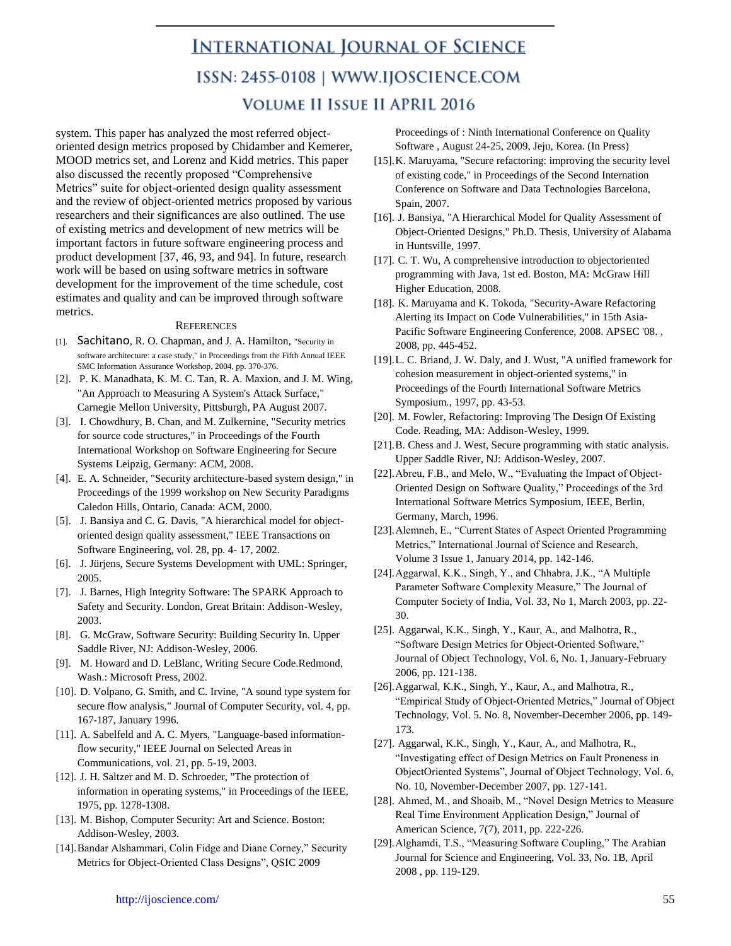system. This paper has analyzed the most referred objectoriented design metrics proposed by Chidamber and Kemerer, MOOD metrics set, and Lorenz and Kidd metrics. This paper also discussed the recently proposed "Comprehensive Metrics" suite for object-oriented design quality assessment and the review of object-oriented metrics proposed by various researchers and their significances are also outlined. The use of existing metrics and development of new metrics will be important factors in future software engineering process and product development [37, 46, 93, and 94]. In future, research work will be based on using software metrics in software development for the improvement of the time schedule, cost estimates and quality and can be improved through software metrics.

#### **REFERENCES**

- [1]. Sachitano, R. O. Chapman, and J. A. Hamilton, "Security in software architecture: a case study," in Proceedings from the Fifth Annual IEEE SMC Information Assurance Workshop, 2004, pp. 370-376.
- [2]. P. K. Manadhata, K. M. C. Tan, R. A. Maxion, and J. M. Wing, "An Approach to Measuring A System's Attack Surface," Carnegie Mellon University, Pittsburgh, PA August 2007.
- [3]. I. Chowdhury, B. Chan, and M. Zulkernine, "Security metrics for source code structures," in Proceedings of the Fourth International Workshop on Software Engineering for Secure Systems Leipzig, Germany: ACM, 2008.
- [4]. E. A. Schneider, "Security architecture-based system design," in Proceedings of the 1999 workshop on New Security Paradigms Caledon Hills, Ontario, Canada: ACM, 2000.
- [5]. J. Bansiya and C. G. Davis, "A hierarchical model for objectoriented design quality assessment," IEEE Transactions on Software Engineering, vol. 28, pp. 4- 17, 2002.
- [6]. J. Jürjens, Secure Systems Development with UML: Springer, 2005.
- [7]. J. Barnes, High Integrity Software: The SPARK Approach to Safety and Security. London, Great Britain: Addison-Wesley, 2003.
- [8]. G. McGraw, Software Security: Building Security In. Upper Saddle River, NJ: Addison-Wesley, 2006.
- [9]. M. Howard and D. LeBlanc, Writing Secure Code.Redmond, Wash.: Microsoft Press, 2002.
- [10]. D. Volpano, G. Smith, and C. Irvine, "A sound type system for secure flow analysis," Journal of Computer Security, vol. 4, pp. 167-187, January 1996.
- [11]. A. Sabelfeld and A. C. Myers, "Language-based informationflow security," IEEE Journal on Selected Areas in Communications, vol. 21, pp. 5-19, 2003.
- [12]. J. H. Saltzer and M. D. Schroeder, "The protection of information in operating systems," in Proceedings of the IEEE, 1975, pp. 1278-1308.
- [13]. M. Bishop, Computer Security: Art and Science. Boston: Addison-Wesley, 2003.
- [14].Bandar Alshammari, Colin Fidge and Diane Corney," Security Metrics for Object-Oriented Class Designs", QSIC 2009

Proceedings of : Ninth International Conference on Quality Software , August 24-25, 2009, Jeju, Korea. (In Press)

- [15]. K. Maruyama, "Secure refactoring: improving the security level of existing code," in Proceedings of the Second Internation Conference on Software and Data Technologies Barcelona, Spain, 2007.
- [16]. J. Bansiya, "A Hierarchical Model for Quality Assessment of Object-Oriented Designs," Ph.D. Thesis, University of Alabama in Huntsville, 1997.
- [17]. C. T. Wu, A comprehensive introduction to objectoriented programming with Java, 1st ed. Boston, MA: McGraw Hill Higher Education, 2008.
- [18]. K. Maruyama and K. Tokoda, "Security-Aware Refactoring Alerting its Impact on Code Vulnerabilities," in 15th Asia-Pacific Software Engineering Conference, 2008. APSEC '08. , 2008, pp. 445-452.
- [19].L. C. Briand, J. W. Daly, and J. Wust, "A unified framework for cohesion measurement in object-oriented systems," in Proceedings of the Fourth International Software Metrics Symposium., 1997, pp. 43-53.
- [20]. M. Fowler, Refactoring: Improving The Design Of Existing Code. Reading, MA: Addison-Wesley, 1999.
- [21].B. Chess and J. West, Secure programming with static analysis. Upper Saddle River, NJ: Addison-Wesley, 2007.
- [22].Abreu, F.B., and Melo, W., "Evaluating the Impact of Object-Oriented Design on Software Quality," Proceedings of the 3rd International Software Metrics Symposium, IEEE, Berlin, Germany, March, 1996.
- [23].Alemneh, E., "Current States of Aspect Oriented Programming Metrics," International Journal of Science and Research, Volume 3 Issue 1, January 2014, pp. 142-146.
- [24].Aggarwal, K.K., Singh, Y., and Chhabra, J.K., "A Multiple Parameter Software Complexity Measure," The Journal of Computer Society of India, Vol. 33, No 1, March 2003, pp. 22- 30.
- [25]. Aggarwal, K.K., Singh, Y., Kaur, A., and Malhotra, R., "Software Design Metrics for Object-Oriented Software," Journal of Object Technology, Vol. 6, No. 1, January-February 2006, pp. 121-138.
- [26].Aggarwal, K.K., Singh, Y., Kaur, A., and Malhotra, R., "Empirical Study of Object-Oriented Metrics," Journal of Object Technology, Vol. 5. No. 8, November-December 2006, pp. 149- 173.
- [27]. Aggarwal, K.K., Singh, Y., Kaur, A., and Malhotra, R., "Investigating effect of Design Metrics on Fault Proneness in ObjectOriented Systems", Journal of Object Technology, Vol. 6, No. 10, November-December 2007, pp. 127-141.
- [28]. Ahmed, M., and Shoaib, M., "Novel Design Metrics to Measure Real Time Environment Application Design," Journal of American Science, 7(7), 2011, pp. 222-226.
- [29].Alghamdi, T.S., "Measuring Software Coupling," The Arabian Journal for Science and Engineering, Vol. 33, No. 1B, April 2008 , pp. 119-129.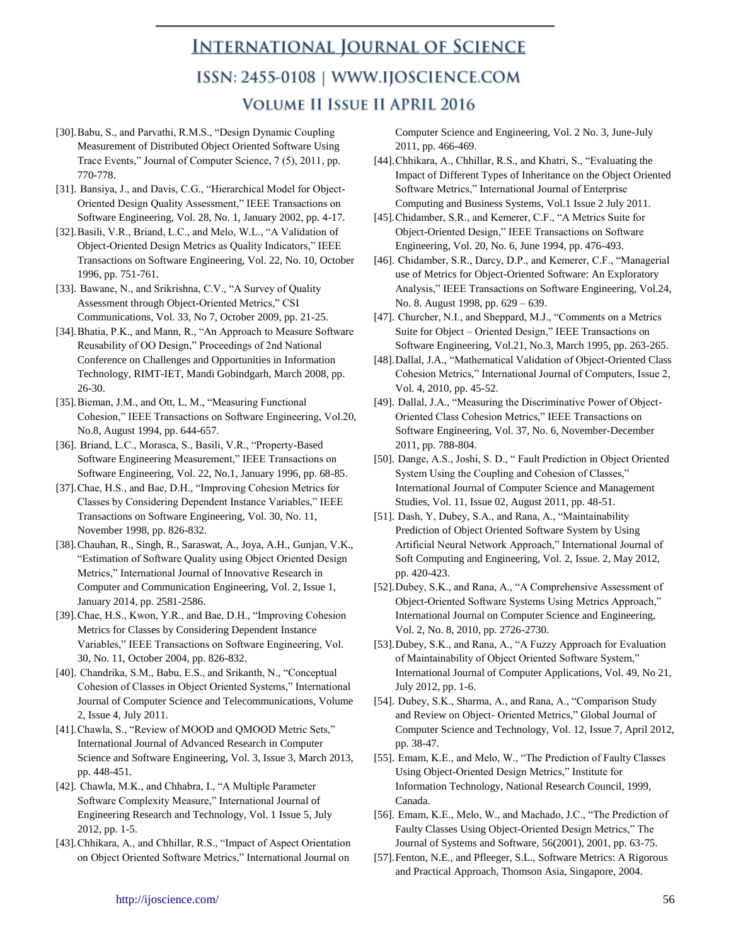- [30].Babu, S., and Parvathi, R.M.S., "Design Dynamic Coupling Measurement of Distributed Object Oriented Software Using Trace Events," Journal of Computer Science, 7 (5), 2011, pp. 770-778.
- [31]. Bansiya, J., and Davis, C.G., "Hierarchical Model for Object-Oriented Design Quality Assessment," IEEE Transactions on Software Engineering, Vol. 28, No. 1, January 2002, pp. 4-17.
- [32].Basili, V.R., Briand, L.C., and Melo, W.L., "A Validation of Object-Oriented Design Metrics as Quality Indicators," IEEE Transactions on Software Engineering, Vol. 22, No. 10, October 1996, pp. 751-761.
- [33]. Bawane, N., and Srikrishna, C.V., "A Survey of Quality Assessment through Object-Oriented Metrics," CSI Communications, Vol. 33, No 7, October 2009, pp. 21-25.
- [34].Bhatia, P.K., and Mann, R., "An Approach to Measure Software Reusability of OO Design," Proceedings of 2nd National Conference on Challenges and Opportunities in Information Technology, RIMT-IET, Mandi Gobindgarh, March 2008, pp. 26-30.
- [35].Bieman, J.M., and Ott, L, M., "Measuring Functional Cohesion," IEEE Transactions on Software Engineering, Vol.20, No.8, August 1994, pp. 644-657.
- [36]. Briand, L.C., Morasca, S., Basili, V.R., "Property-Based Software Engineering Measurement," IEEE Transactions on Software Engineering, Vol. 22, No.1, January 1996, pp. 68-85.
- [37].Chae, H.S., and Bae, D.H., "Improving Cohesion Metrics for Classes by Considering Dependent Instance Variables," IEEE Transactions on Software Engineering, Vol. 30, No. 11, November 1998, pp. 826-832.
- [38].Chauhan, R., Singh, R., Saraswat, A., Joya, A.H., Gunjan, V.K., "Estimation of Software Quality using Object Oriented Design Metrics," International Journal of Innovative Research in Computer and Communication Engineering, Vol. 2, Issue 1, January 2014, pp. 2581-2586.
- [39].Chae, H.S., Kwon, Y.R., and Bae, D.H., "Improving Cohesion Metrics for Classes by Considering Dependent Instance Variables," IEEE Transactions on Software Engineering, Vol. 30, No. 11, October 2004, pp. 826-832.
- [40]. Chandrika, S.M., Babu, E.S., and Srikanth, N., "Conceptual Cohesion of Classes in Object Oriented Systems," International Journal of Computer Science and Telecommunications, Volume 2, Issue 4, July 2011.
- [41].Chawla, S., "Review of MOOD and QMOOD Metric Sets," International Journal of Advanced Research in Computer Science and Software Engineering, Vol. 3, Issue 3, March 2013, pp. 448-451.
- [42]. Chawla, M.K., and Chhabra, I., "A Multiple Parameter Software Complexity Measure," International Journal of Engineering Research and Technology, Vol. 1 Issue 5, July 2012, pp. 1-5.
- [43].Chhikara, A., and Chhillar, R.S., "Impact of Aspect Orientation on Object Oriented Software Metrics," International Journal on

Computer Science and Engineering, Vol. 2 No. 3, June-July 2011, pp. 466-469.

- [44].Chhikara, A., Chhillar, R.S., and Khatri, S., "Evaluating the Impact of Different Types of Inheritance on the Object Oriented Software Metrics," International Journal of Enterprise Computing and Business Systems, Vol.1 Issue 2 July 2011.
- [45].Chidamber, S.R., and Kemerer, C.F., "A Metrics Suite for Object-Oriented Design," IEEE Transactions on Software Engineering, Vol. 20, No. 6, June 1994, pp. 476-493.
- [46]. Chidamber, S.R., Darcy, D.P., and Kemerer, C.F., "Managerial use of Metrics for Object-Oriented Software: An Exploratory Analysis," IEEE Transactions on Software Engineering, Vol.24, No. 8. August 1998, pp. 629 – 639.
- [47]. Churcher, N.I., and Sheppard, M.J., "Comments on a Metrics Suite for Object – Oriented Design," IEEE Transactions on Software Engineering, Vol.21, No.3, March 1995, pp. 263-265.
- [48].Dallal, J.A., "Mathematical Validation of Object-Oriented Class Cohesion Metrics," International Journal of Computers, Issue 2, Vol. 4, 2010, pp. 45-52.
- [49]. Dallal, J.A., "Measuring the Discriminative Power of Object-Oriented Class Cohesion Metrics," IEEE Transactions on Software Engineering, Vol. 37, No. 6, November-December 2011, pp. 788-804.
- [50]. Dange, A.S., Joshi, S. D., " Fault Prediction in Object Oriented System Using the Coupling and Cohesion of Classes," International Journal of Computer Science and Management Studies, Vol. 11, Issue 02, August 2011, pp. 48-51.
- [51]. Dash, Y, Dubey, S.A., and Rana, A., "Maintainability Prediction of Object Oriented Software System by Using Artificial Neural Network Approach," International Journal of Soft Computing and Engineering, Vol. 2, Issue. 2, May 2012, pp. 420-423.
- [52].Dubey, S.K., and Rana, A., "A Comprehensive Assessment of Object-Oriented Software Systems Using Metrics Approach," International Journal on Computer Science and Engineering, Vol. 2, No. 8, 2010, pp. 2726-2730.
- [53].Dubey, S.K., and Rana, A., "A Fuzzy Approach for Evaluation of Maintainability of Object Oriented Software System," International Journal of Computer Applications, Vol. 49, No 21, July 2012, pp. 1-6.
- [54]. Dubey, S.K., Sharma, A., and Rana, A., "Comparison Study and Review on Object- Oriented Metrics," Global Journal of Computer Science and Technology, Vol. 12, Issue 7, April 2012, pp. 38-47.
- [55]. Emam, K.E., and Melo, W., "The Prediction of Faulty Classes Using Object-Oriented Design Metrics," Institute for Information Technology, National Research Council, 1999, Canada.
- [56]. Emam, K.E., Melo, W., and Machado, J.C., "The Prediction of Faulty Classes Using Object-Oriented Design Metrics," The Journal of Systems and Software, 56(2001), 2001, pp. 63-75.
- [57].Fenton, N.E., and Pfleeger, S.L., Software Metrics: A Rigorous and Practical Approach, Thomson Asia, Singapore, 2004.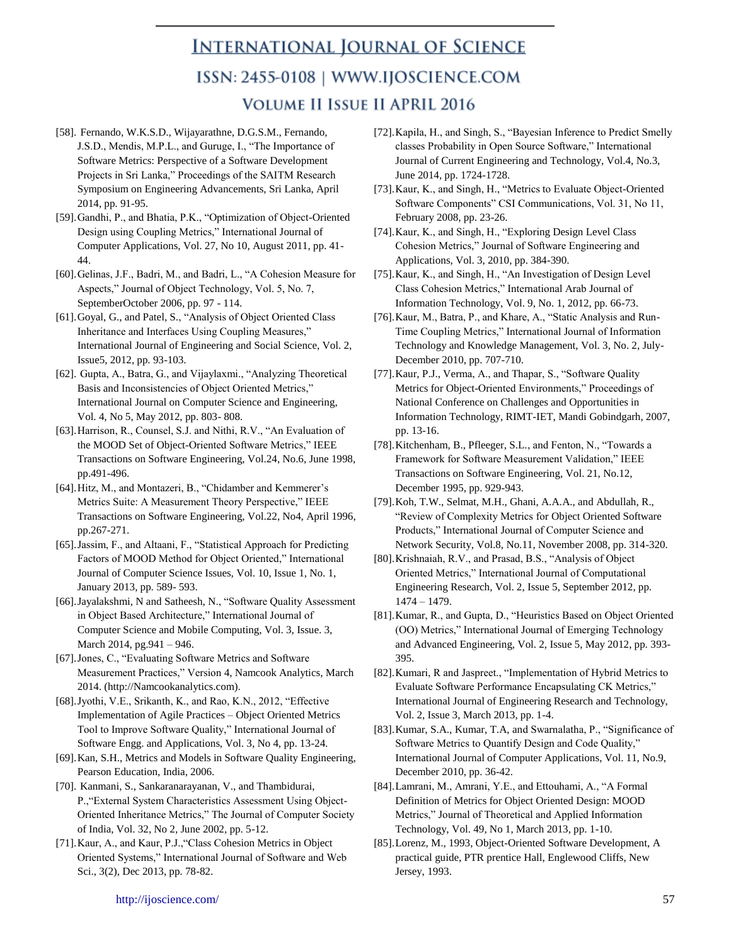- [58]. Fernando, W.K.S.D., Wijayarathne, D.G.S.M., Fernando, J.S.D., Mendis, M.P.L., and Guruge, I., "The Importance of Software Metrics: Perspective of a Software Development Projects in Sri Lanka," Proceedings of the SAITM Research Symposium on Engineering Advancements, Sri Lanka, April 2014, pp. 91-95.
- [59].Gandhi, P., and Bhatia, P.K., "Optimization of Object-Oriented Design using Coupling Metrics," International Journal of Computer Applications, Vol. 27, No 10, August 2011, pp. 41- 44.
- [60].Gelinas, J.F., Badri, M., and Badri, L., "A Cohesion Measure for Aspects," Journal of Object Technology, Vol. 5, No. 7, SeptemberOctober 2006, pp. 97 - 114.
- [61].Goyal, G., and Patel, S., "Analysis of Object Oriented Class Inheritance and Interfaces Using Coupling Measures," International Journal of Engineering and Social Science, Vol. 2, Issue5, 2012, pp. 93-103.
- [62]. Gupta, A., Batra, G., and Vijaylaxmi., "Analyzing Theoretical Basis and Inconsistencies of Object Oriented Metrics," International Journal on Computer Science and Engineering, Vol. 4, No 5, May 2012, pp. 803- 808.
- [63].Harrison, R., Counsel, S.J. and Nithi, R.V., "An Evaluation of the MOOD Set of Object-Oriented Software Metrics," IEEE Transactions on Software Engineering, Vol.24, No.6, June 1998, pp.491-496.
- [64].Hitz, M., and Montazeri, B., "Chidamber and Kemmerer's Metrics Suite: A Measurement Theory Perspective," IEEE Transactions on Software Engineering, Vol.22, No4, April 1996, pp.267-271.
- [65].Jassim, F., and Altaani, F., "Statistical Approach for Predicting Factors of MOOD Method for Object Oriented," International Journal of Computer Science Issues, Vol. 10, Issue 1, No. 1, January 2013, pp. 589- 593.
- [66].Jayalakshmi, N and Satheesh, N., "Software Quality Assessment in Object Based Architecture," International Journal of Computer Science and Mobile Computing, Vol. 3, Issue. 3, March 2014, pg.941 – 946.
- [67].Jones, C., "Evaluating Software Metrics and Software Measurement Practices," Version 4, Namcook Analytics, March 2014. (http://Namcookanalytics.com).
- [68].Jyothi, V.E., Srikanth, K., and Rao, K.N., 2012, "Effective Implementation of Agile Practices – Object Oriented Metrics Tool to Improve Software Quality," International Journal of Software Engg. and Applications, Vol. 3, No 4, pp. 13-24.
- [69].Kan, S.H., Metrics and Models in Software Quality Engineering, Pearson Education, India, 2006.
- [70]. Kanmani, S., Sankaranarayanan, V., and Thambidurai, P.,"External System Characteristics Assessment Using Object-Oriented Inheritance Metrics," The Journal of Computer Society of India, Vol. 32, No 2, June 2002, pp. 5-12.
- [71].Kaur, A., and Kaur, P.J.,"Class Cohesion Metrics in Object Oriented Systems," International Journal of Software and Web Sci., 3(2), Dec 2013, pp. 78-82.
- [72].Kapila, H., and Singh, S., "Bayesian Inference to Predict Smelly classes Probability in Open Source Software," International Journal of Current Engineering and Technology, Vol.4, No.3, June 2014, pp. 1724-1728.
- [73].Kaur, K., and Singh, H., "Metrics to Evaluate Object-Oriented Software Components" CSI Communications, Vol. 31, No 11, February 2008, pp. 23-26.
- [74].Kaur, K., and Singh, H., "Exploring Design Level Class Cohesion Metrics," Journal of Software Engineering and Applications, Vol. 3, 2010, pp. 384-390.
- [75].Kaur, K., and Singh, H., "An Investigation of Design Level Class Cohesion Metrics," International Arab Journal of Information Technology, Vol. 9, No. 1, 2012, pp. 66-73.
- [76].Kaur, M., Batra, P., and Khare, A., "Static Analysis and Run-Time Coupling Metrics," International Journal of Information Technology and Knowledge Management, Vol. 3, No. 2, July-December 2010, pp. 707-710.
- [77].Kaur, P.J., Verma, A., and Thapar, S., "Software Quality Metrics for Object-Oriented Environments," Proceedings of National Conference on Challenges and Opportunities in Information Technology, RIMT-IET, Mandi Gobindgarh, 2007, pp. 13-16.
- [78].Kitchenham, B., Pfleeger, S.L., and Fenton, N., "Towards a Framework for Software Measurement Validation," IEEE Transactions on Software Engineering, Vol. 21, No.12, December 1995, pp. 929-943.
- [79].Koh, T.W., Selmat, M.H., Ghani, A.A.A., and Abdullah, R., "Review of Complexity Metrics for Object Oriented Software Products," International Journal of Computer Science and Network Security, Vol.8, No.11, November 2008, pp. 314-320.
- [80].Krishnaiah, R.V., and Prasad, B.S., "Analysis of Object Oriented Metrics," International Journal of Computational Engineering Research, Vol. 2, Issue 5, September 2012, pp. 1474 – 1479.
- [81].Kumar, R., and Gupta, D., "Heuristics Based on Object Oriented (OO) Metrics," International Journal of Emerging Technology and Advanced Engineering, Vol. 2, Issue 5, May 2012, pp. 393- 395.
- [82].Kumari, R and Jaspreet., "Implementation of Hybrid Metrics to Evaluate Software Performance Encapsulating CK Metrics," International Journal of Engineering Research and Technology, Vol. 2, Issue 3, March 2013, pp. 1-4.
- [83].Kumar, S.A., Kumar, T.A, and Swarnalatha, P., "Significance of Software Metrics to Quantify Design and Code Quality," International Journal of Computer Applications, Vol. 11, No.9, December 2010, pp. 36-42.
- [84].Lamrani, M., Amrani, Y.E., and Ettouhami, A., "A Formal Definition of Metrics for Object Oriented Design: MOOD Metrics," Journal of Theoretical and Applied Information Technology, Vol. 49, No 1, March 2013, pp. 1-10.
- [85].Lorenz, M., 1993, Object-Oriented Software Development, A practical guide, PTR prentice Hall, Englewood Cliffs, New Jersey, 1993.